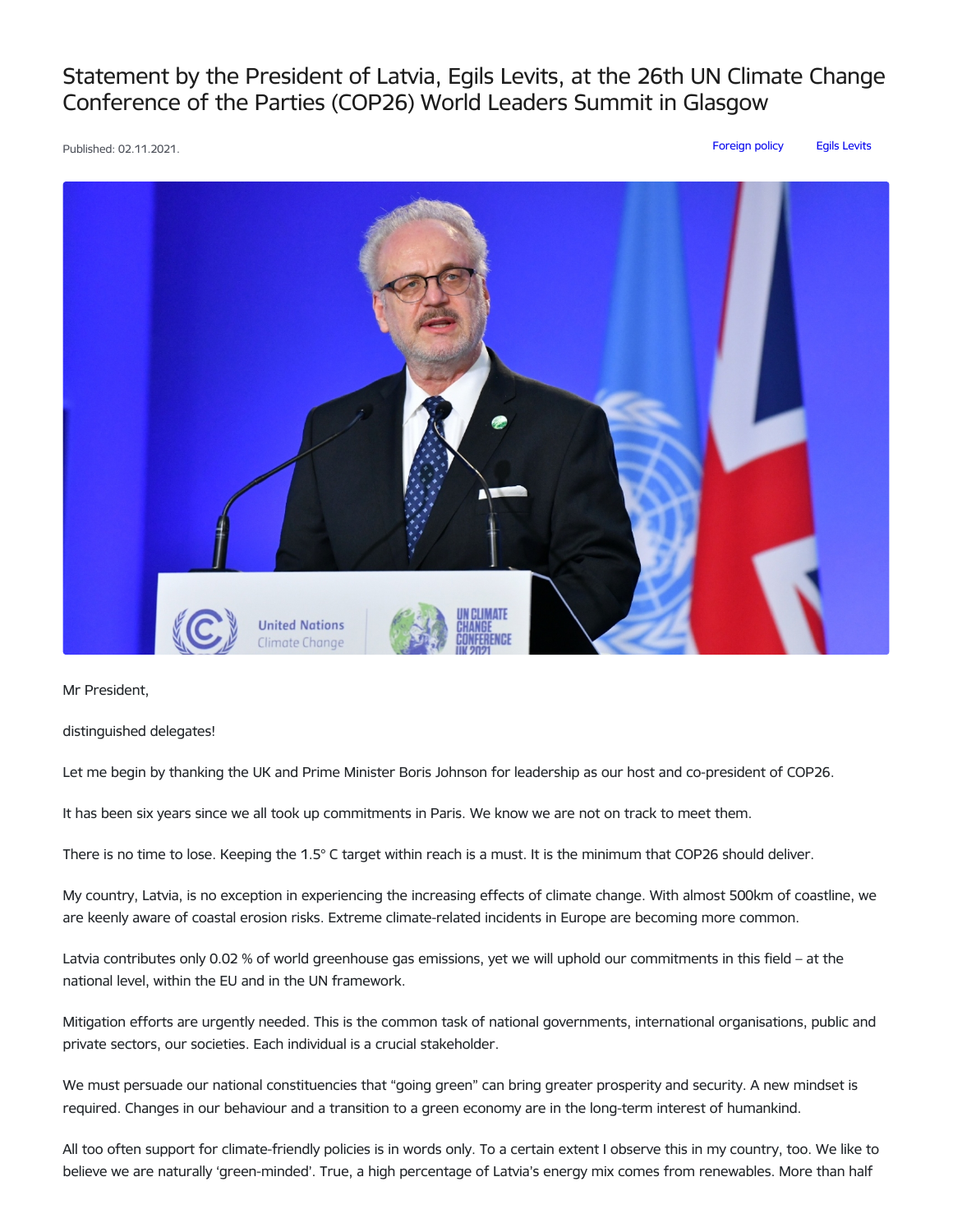## Statement by the President of Latvia, Egils Levits, at the 26th UN Climate Change Conference of the Parties (COP26) World Leaders Summit in Glasgow

Published: 02.11.2021. [Foreign](https://www.president.lv/en/articles?category%255B314%255D=314) policy Egils [Levits](https://www.president.lv/en/articles?category%255B276%255D=276)



Mr President,

distinguished delegates!

Let me begin by thanking the UK and Prime Minister Boris Johnson for leadership as our host and co-president of COP26.

It has been six years since we all took up commitments in Paris. We know we are not on track to meet them.

There is no time to lose. Keeping the 1.5° C target within reach is a must. It is the minimum that COP26 should deliver.

My country, Latvia, is no exception in experiencing the increasing effects of climate change. With almost 500km of coastline, we are keenly aware of coastal erosion risks. Extreme climate-related incidents in Europe are becoming more common.

Latvia contributes only 0.02 % of world greenhouse gas emissions, yet we will uphold our commitments in this field – at the national level, within the EU and in the UN framework.

Mitigation efforts are urgently needed. This is the common task of national governments, international organisations, public and private sectors, our societies. Each individual is a crucial stakeholder.

We must persuade our national constituencies that "going green" can bring greater prosperity and security. A new mindset is required. Changes in our behaviour and a transition to a green economy are in the long-term interest of humankind.

All too often support for climate-friendly policies is in words only. To a certain extent I observe this in my country, too. We like to believe we are naturally 'green-minded'. True, a high percentage of Latvia's energy mix comes from renewables. More than half